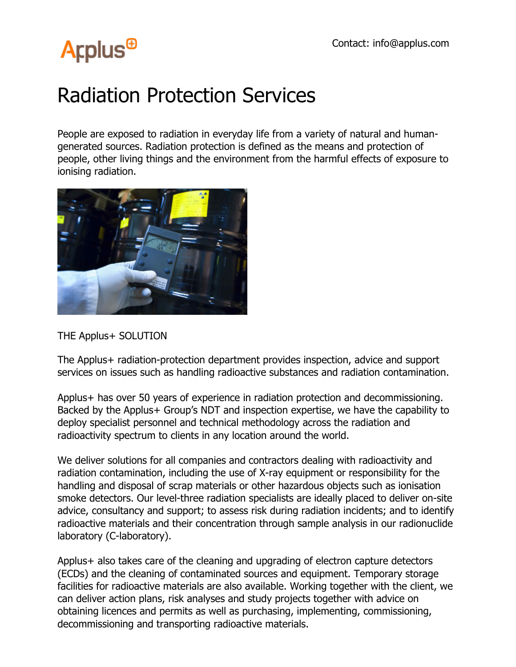## **Arplus<sup>®</sup>**

## Radiation Protection Services

People are exposed to radiation in everyday life from a variety of natural and humangenerated sources. Radiation protection is defined as the means and protection of people, other living things and the environment from the harmful effects of exposure to ionising radiation.



THE Applus+ SOLUTION

The Applus+ radiation-protection department provides inspection, advice and support services on issues such as handling radioactive substances and radiation contamination.

Applus+ has over 50 years of experience in radiation protection and decommissioning. Backed by the Applus+ Group's NDT and inspection expertise, we have the capability to deploy specialist personnel and technical methodology across the radiation and radioactivity spectrum to clients in any location around the world.

We deliver solutions for all companies and contractors dealing with radioactivity and radiation contamination, including the use of X-ray equipment or responsibility for the handling and disposal of scrap materials or other hazardous objects such as ionisation smoke detectors. Our level-three radiation specialists are ideally placed to deliver on-site advice, consultancy and support; to assess risk during radiation incidents; and to identify radioactive materials and their concentration through sample analysis in our radionuclide laboratory (C-laboratory).

Applus+ also takes care of the cleaning and upgrading of electron capture detectors (ECDs) and the cleaning of contaminated sources and equipment. Temporary storage facilities for radioactive materials are also available. Working together with the client, we can deliver action plans, risk analyses and study projects together with advice on obtaining licences and permits as well as purchasing, implementing, commissioning, decommissioning and transporting radioactive materials.